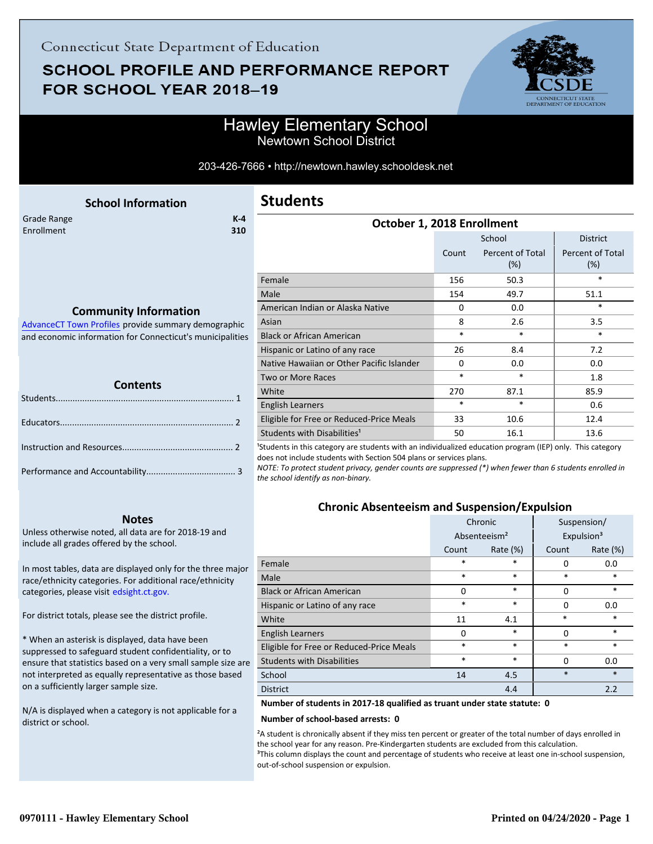## **SCHOOL PROFILE AND PERFORMANCE REPORT** FOR SCHOOL YEAR 2018-19



### Hawley Elementary School Newtown School District

203-426-7666 • http://newtown.hawley.schooldesk.net

<span id="page-0-0"></span>

|                           | <b>School Information</b> |              | <b>Students</b> |         |
|---------------------------|---------------------------|--------------|-----------------|---------|
| Grade Range<br>Enrollment |                           | $K-4$<br>310 |                 | October |
|                           |                           |              | Female          |         |
|                           |                           |              | Male            |         |

### **Community Information**

AdvanceCT Town Profiles provide summary demographic  [and economic information for Connecticut's municipalities](http://www.cerc.com/townprofiles/)

| <b>Contents</b> |  |  |  |  |
|-----------------|--|--|--|--|
|                 |  |  |  |  |
|                 |  |  |  |  |
|                 |  |  |  |  |
|                 |  |  |  |  |

#### **Notes**

Unless otherwise noted, all data are for 2018-19 and include all grades offered by the school.

[In most tables, data are displayed only for the three major](http://edsight.ct.gov/) race/ethnicity categories. For additional race/ethnicity categories, please visit edsight.ct.gov.

For district totals, please see the district profile.

\* When an asterisk is displayed, data have been suppressed to safeguard student confidentiality, or to ensure that statistics based on a very small sample size are not interpreted as equally representative as those based on a sufficiently larger sample size.

N/A is displayed when a category is not applicable for a district or school.

| October 1, 2018 Enrollment                |          |                         |                         |  |  |  |
|-------------------------------------------|----------|-------------------------|-------------------------|--|--|--|
|                                           |          | School                  | <b>District</b>         |  |  |  |
|                                           | Count    | Percent of Total<br>(%) | Percent of Total<br>(%) |  |  |  |
| Female                                    | 156      | 50.3                    | $\ast$                  |  |  |  |
| Male                                      | 154      | 49.7                    | 51.1                    |  |  |  |
| American Indian or Alaska Native          | 0        | 0.0                     | *                       |  |  |  |
| Asian                                     | 8        | 2.6                     | 3.5                     |  |  |  |
| <b>Black or African American</b>          | *        | $\ast$                  | $\ast$                  |  |  |  |
| Hispanic or Latino of any race            | 26       | 8.4                     | 7.2                     |  |  |  |
| Native Hawaiian or Other Pacific Islander | $\Omega$ | 0.0                     | 0.0                     |  |  |  |
| Two or More Races                         | *        | *                       | 1.8                     |  |  |  |
| White                                     | 270      | 87.1                    | 85.9                    |  |  |  |
| English Learners                          | *        | $\ast$                  | 0.6                     |  |  |  |
| Eligible for Free or Reduced-Price Meals  | 33       | 10.6                    | 12.4                    |  |  |  |
| Students with Disabilities <sup>1</sup>   | 50       | 16.1                    | 13.6                    |  |  |  |

<sup>1</sup>Students in this category are students with an individualized education program (IEP) only. This category does not include students with Section 504 plans or services plans.

*NOTE: To protect student privacy, gender counts are suppressed (\*) when fewer than 6 students enrolled in the school identify as non-binary.*

### **Chronic Absenteeism and Suspension/Expulsion**

|                                          | Chronic  |                          |        | Suspension/            |
|------------------------------------------|----------|--------------------------|--------|------------------------|
|                                          |          | Absenteeism <sup>2</sup> |        | Expulsion <sup>3</sup> |
|                                          | Count    | Rate $(\%)$              | Count  | Rate $(\%)$            |
| Female                                   | *        | *                        | 0      | 0.0                    |
| Male                                     | $\ast$   | *                        | $\ast$ | $\ast$                 |
| <b>Black or African American</b>         | 0        | $\ast$                   | 0      | $\ast$                 |
| Hispanic or Latino of any race           | *        | *                        | 0      | 0.0                    |
| White                                    | 11       | 4.1                      | $\ast$ | $\ast$                 |
| <b>English Learners</b>                  | $\Omega$ | $\ast$                   | 0      | $\ast$                 |
| Eligible for Free or Reduced-Price Meals | *        | *                        | $\ast$ | $\ast$                 |
| <b>Students with Disabilities</b>        | $\ast$   | $\ast$                   | 0      | 0.0                    |
| School                                   | 14       | 4.5                      | $\ast$ | $\ast$                 |
| <b>District</b>                          |          | 4.4                      |        | 2.2                    |

**Number of students in 2017-18 qualified as truant under state statute: 0**

#### **Number of school-based arrests: 0**

²A student is chronically absent if they miss ten percent or greater of the total number of days enrolled in the school year for any reason. Pre-Kindergarten students are excluded from this calculation. <sup>3</sup>This column displays the count and percentage of students who receive at least one in-school suspension, out-of-school suspension or expulsion.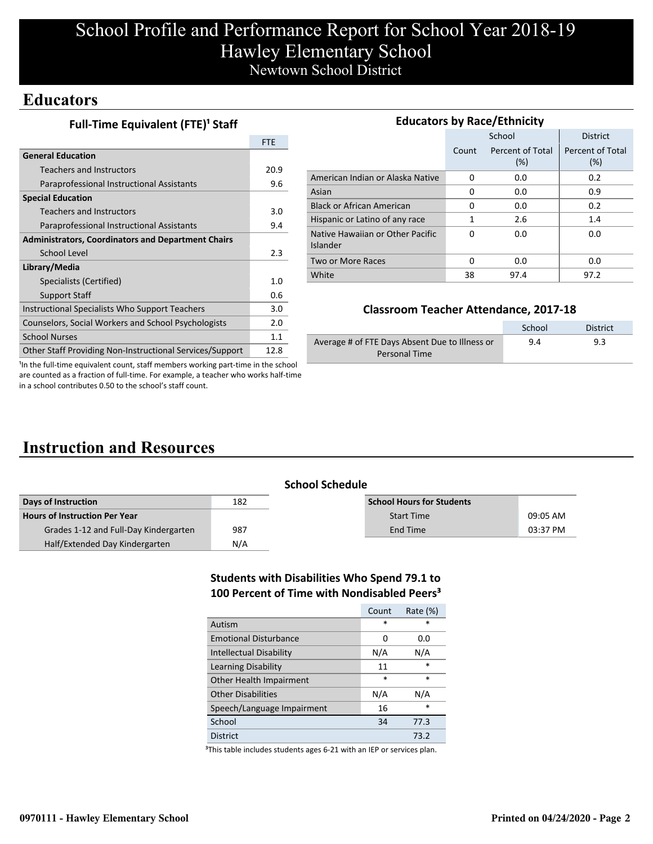# School Profile and Performance Report for School Year 2018-19 Hawley Elementary School Newtown School District

### **Educators**

**Full-Time Equivalent (FTE)<sup>1</sup> Staff** 

|                                                                 | <b>FTE</b> |
|-----------------------------------------------------------------|------------|
| <b>General Education</b>                                        |            |
| Teachers and Instructors                                        | 20.9       |
| Paraprofessional Instructional Assistants                       | 9.6        |
| <b>Special Education</b>                                        |            |
| Teachers and Instructors                                        | 3.0        |
| Paraprofessional Instructional Assistants                       | 9.4        |
| <b>Administrators, Coordinators and Department Chairs</b>       |            |
| School Level                                                    | 2.3        |
| Library/Media                                                   |            |
| Specialists (Certified)                                         | 1.0        |
| <b>Support Staff</b>                                            | 0.6        |
| Instructional Specialists Who Support Teachers                  | 3.0        |
| Counselors, Social Workers and School Psychologists             | 2.0        |
| <b>School Nurses</b>                                            | 1.1        |
| <b>Other Staff Providing Non-Instructional Services/Support</b> | 12.8       |

| <b>Educators by Race/Ethnicity</b>           |       |                         |                         |  |  |  |  |
|----------------------------------------------|-------|-------------------------|-------------------------|--|--|--|--|
|                                              |       | School                  | <b>District</b>         |  |  |  |  |
|                                              | Count | Percent of Total<br>(%) | Percent of Total<br>(%) |  |  |  |  |
| American Indian or Alaska Native             | 0     | 0.0                     | 0.2                     |  |  |  |  |
| Asian                                        | 0     | 0.0                     | 0.9                     |  |  |  |  |
| <b>Black or African American</b>             | 0     | 0.0                     | 0.2                     |  |  |  |  |
| Hispanic or Latino of any race               | 1     | 2.6                     | 1.4                     |  |  |  |  |
| Native Hawaiian or Other Pacific<br>Islander | O     | 0.0                     | 0.0                     |  |  |  |  |
| Two or More Races                            | O     | 0.0                     | 0.0                     |  |  |  |  |
| White                                        | 38    | 97.4                    | 97.2                    |  |  |  |  |

### **Classroom Teacher Attendance, 2017-18**

|                                                | School | District |
|------------------------------------------------|--------|----------|
| Average # of FTE Days Absent Due to Illness or | 9.4    | 9.3      |
| Personal Time                                  |        |          |

<sup>1</sup>In the full-time equivalent count, staff members working part-time in the school are counted as a fraction of full-time. For example, a teacher who works half-time in a school contributes 0.50 to the school's staff count.

# **Instruction and Resources**

| <b>School Schedule</b>                |     |                                  |          |  |  |
|---------------------------------------|-----|----------------------------------|----------|--|--|
| Days of Instruction                   | 182 | <b>School Hours for Students</b> |          |  |  |
| Hours of Instruction Per Year         |     | <b>Start Time</b>                | 09:05 AM |  |  |
| Grades 1-12 and Full-Day Kindergarten | 987 | End Time                         | 03:37 PM |  |  |
| Half/Extended Day Kindergarten        | N/A |                                  |          |  |  |

### **Students with Disabilities Who Spend 79.1 to 100 Percent of Time with Nondisabled Peers³**

|                                | Count  | Rate $(\%)$ |
|--------------------------------|--------|-------------|
| Autism                         | $\ast$ | $\ast$      |
| <b>Emotional Disturbance</b>   | 0      | 0.0         |
| <b>Intellectual Disability</b> | N/A    | N/A         |
| Learning Disability            | 11     | $\ast$      |
| Other Health Impairment        | $\ast$ | $\ast$      |
| <b>Other Disabilities</b>      | N/A    | N/A         |
| Speech/Language Impairment     | 16     | *           |
| School                         | 34     | 77.3        |
| District                       |        | 73.2        |

<sup>3</sup>This table includes students ages 6-21 with an IEP or services plan.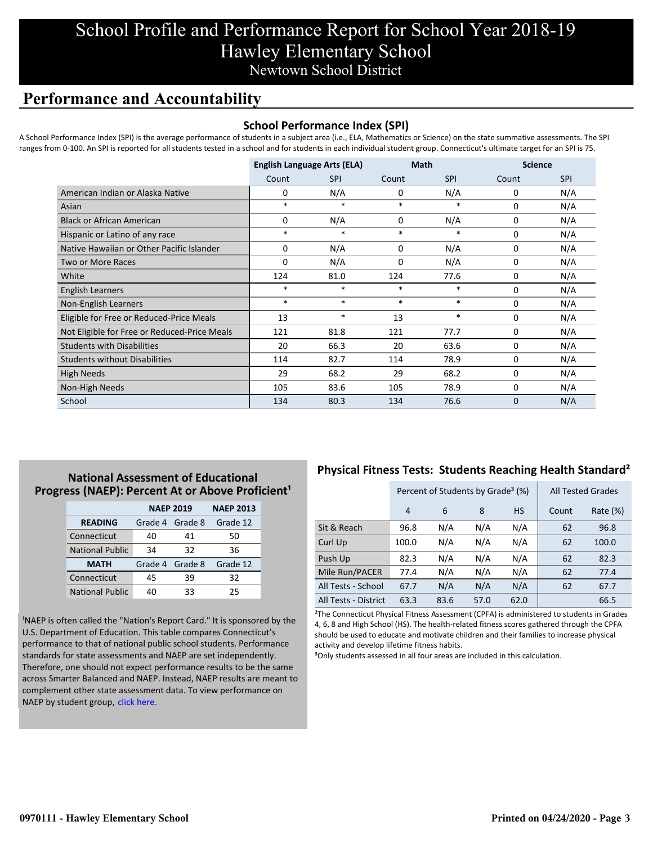## School Profile and Performance Report for School Year 2018-19 Hawley Elementary School Newtown School District

### **Performance and Accountability**

#### **School Performance Index (SPI)**

A School Performance Index (SPI) is the average performance of students in a subject area (i.e., ELA, Mathematics or Science) on the state summative assessments. The SPI ranges from 0-100. An SPI is reported for all students tested in a school and for students in each individual student group. Connecticut's ultimate target for an SPI is 75.

|                                              | <b>English Language Arts (ELA)</b> |            | <b>Math</b> |            | <b>Science</b> |            |
|----------------------------------------------|------------------------------------|------------|-------------|------------|----------------|------------|
|                                              | Count                              | <b>SPI</b> | Count       | <b>SPI</b> | Count          | <b>SPI</b> |
| American Indian or Alaska Native             | 0                                  | N/A        | 0           | N/A        | 0              | N/A        |
| Asian                                        | $\ast$                             | $\ast$     | $\ast$      | $\ast$     | $\Omega$       | N/A        |
| <b>Black or African American</b>             | 0                                  | N/A        | 0           | N/A        | 0              | N/A        |
| Hispanic or Latino of any race               | $\ast$                             | $\ast$     | $\ast$      | $\ast$     | 0              | N/A        |
| Native Hawaiian or Other Pacific Islander    | 0                                  | N/A        | 0           | N/A        | 0              | N/A        |
| <b>Two or More Races</b>                     | $\Omega$                           | N/A        | 0           | N/A        | 0              | N/A        |
| White                                        | 124                                | 81.0       | 124         | 77.6       | 0              | N/A        |
| English Learners                             | $\ast$                             | $\ast$     | $\ast$      | $\ast$     | 0              | N/A        |
| Non-English Learners                         | $\ast$                             | $\ast$     | $\ast$      | $\ast$     | 0              | N/A        |
| Eligible for Free or Reduced-Price Meals     | 13                                 | $\ast$     | 13          | $\ast$     | 0              | N/A        |
| Not Eligible for Free or Reduced-Price Meals | 121                                | 81.8       | 121         | 77.7       | 0              | N/A        |
| <b>Students with Disabilities</b>            | 20                                 | 66.3       | 20          | 63.6       | 0              | N/A        |
| <b>Students without Disabilities</b>         | 114                                | 82.7       | 114         | 78.9       | 0              | N/A        |
| <b>High Needs</b>                            | 29                                 | 68.2       | 29          | 68.2       | $\Omega$       | N/A        |
| Non-High Needs                               | 105                                | 83.6       | 105         | 78.9       | 0              | N/A        |
| School                                       | 134                                | 80.3       | 134         | 76.6       | $\Omega$       | N/A        |

### **National Assessment of Educational Progress (NAEP): Percent At or Above Proficient<sup>1</sup>**

|                        | <b>NAEP 2019</b> | <b>NAEP 2013</b> |          |
|------------------------|------------------|------------------|----------|
| <b>READING</b>         | Grade 4          | Grade 8          | Grade 12 |
| Connecticut            | 40               | 41               | 50       |
| <b>National Public</b> | 34               | 32               | 36       |
| <b>MATH</b>            | Grade 4 Grade 8  |                  | Grade 12 |
| Connecticut            | 45               | 39               | 32       |
| <b>National Public</b> | 40               | 33               | 25       |

<sup>1</sup>NAEP is often called the "Nation's Report Card." It is sponsored by the U.S. Department of Education. This table compares Connecticut's performance to that of national public school students. Performance standards for state assessments and NAEP are set independently. Therefore, one should not expect performance results to be the same [across Smarter Balanced and NAEP. Instead, NAEP results are meant to](https://portal.ct.gov/-/media/SDE/Student-Assessment/NAEP/report-card_NAEP-2019.pdf?la=en) complement other state assessment data. To view performance on NAEP by student group, click here.

### **Physical Fitness Tests: Students Reaching Health Standard²**

|                      | Percent of Students by Grade <sup>3</sup> (%) |      |      |           | <b>All Tested Grades</b> |          |
|----------------------|-----------------------------------------------|------|------|-----------|--------------------------|----------|
|                      | 4                                             | 6    | 8    | <b>HS</b> | Count                    | Rate (%) |
| Sit & Reach          | 96.8                                          | N/A  | N/A  | N/A       | 62                       | 96.8     |
| Curl Up              | 100.0                                         | N/A  | N/A  | N/A       | 62                       | 100.0    |
| Push Up              | 82.3                                          | N/A  | N/A  | N/A       | 62                       | 82.3     |
| Mile Run/PACER       | 77.4                                          | N/A  | N/A  | N/A       | 62                       | 77.4     |
| All Tests - School   | 67.7                                          | N/A  | N/A  | N/A       | 62                       | 67.7     |
| All Tests - District | 63.3                                          | 83.6 | 57.0 | 62.0      |                          | 66.5     |

²The Connecticut Physical Fitness Assessment (CPFA) is administered to students in Grades 4, 6, 8 and High School (HS). The health-related fitness scores gathered through the CPFA should be used to educate and motivate children and their families to increase physical activity and develop lifetime fitness habits.

<sup>3</sup>Only students assessed in all four areas are included in this calculation.